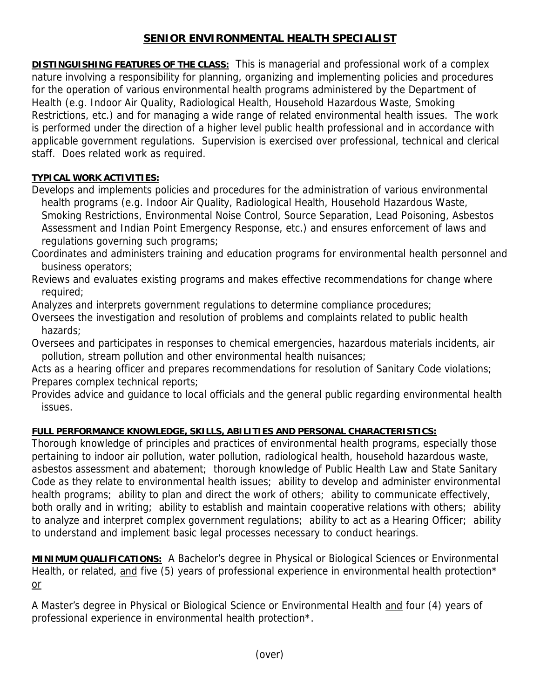## **SENIOR ENVIRONMENTAL HEALTH SPECIALIST**

**DISTINGUISHING FEATURES OF THE CLASS:** This is managerial and professional work of a complex nature involving a responsibility for planning, organizing and implementing policies and procedures for the operation of various environmental health programs administered by the Department of Health (e.g. Indoor Air Quality, Radiological Health, Household Hazardous Waste, Smoking Restrictions, etc.) and for managing a wide range of related environmental health issues. The work is performed under the direction of a higher level public health professional and in accordance with applicable government regulations. Supervision is exercised over professional, technical and clerical staff. Does related work as required.

## **TYPICAL WORK ACTIVITIES:**

Develops and implements policies and procedures for the administration of various environmental health programs (e.g. Indoor Air Quality, Radiological Health, Household Hazardous Waste, Smoking Restrictions, Environmental Noise Control, Source Separation, Lead Poisoning, Asbestos Assessment and Indian Point Emergency Response, etc.) and ensures enforcement of laws and regulations governing such programs;

- Coordinates and administers training and education programs for environmental health personnel and business operators;
- Reviews and evaluates existing programs and makes effective recommendations for change where required;
- Analyzes and interprets government regulations to determine compliance procedures;
- Oversees the investigation and resolution of problems and complaints related to public health hazards;
- Oversees and participates in responses to chemical emergencies, hazardous materials incidents, air pollution, stream pollution and other environmental health nuisances;
- Acts as a hearing officer and prepares recommendations for resolution of Sanitary Code violations; Prepares complex technical reports;
- Provides advice and guidance to local officials and the general public regarding environmental health issues.

## **FULL PERFORMANCE KNOWLEDGE, SKILLS, ABILITIES AND PERSONAL CHARACTERISTICS:**

Thorough knowledge of principles and practices of environmental health programs, especially those pertaining to indoor air pollution, water pollution, radiological health, household hazardous waste, asbestos assessment and abatement; thorough knowledge of Public Health Law and State Sanitary Code as they relate to environmental health issues; ability to develop and administer environmental health programs; ability to plan and direct the work of others; ability to communicate effectively, both orally and in writing; ability to establish and maintain cooperative relations with others; ability to analyze and interpret complex government regulations; ability to act as a Hearing Officer; ability to understand and implement basic legal processes necessary to conduct hearings.

**MINIMUM QUALIFICATIONS:** A Bachelor's degree in Physical or Biological Sciences or Environmental Health, or related, and five (5) years of professional experience in environmental health protection\* or

A Master's degree in Physical or Biological Science or Environmental Health and four (4) years of professional experience in environmental health protection\*.